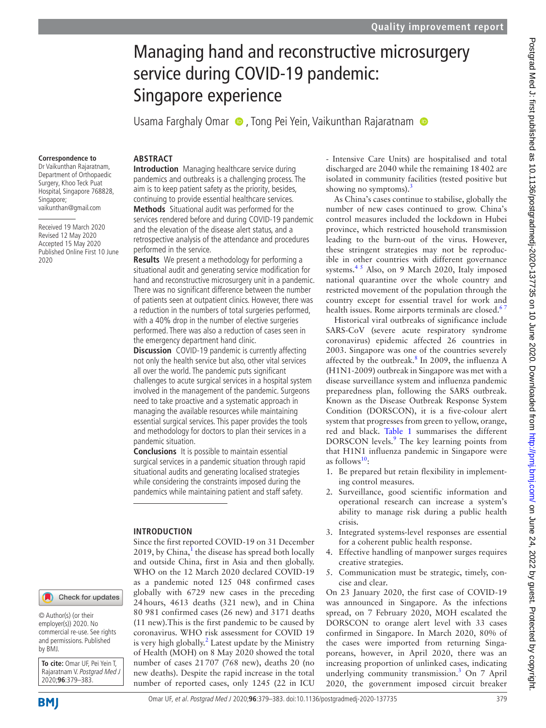# Managing hand and reconstructive microsurgery service during COVID-19 pandemic: Singapore experience

Usama Farghaly Omar (D), Tong Pei Yein, Vaikunthan Rajaratnam (D)

#### **Correspondence to**

Dr Vaikunthan Rajaratnam, Department of Orthopaedic Surgery, Khoo Teck Puat Hospital, Singapore 768828, Singapore; vaikunthan@gmail.com

Received 19 March 2020 Revised 12 May 2020 Accepted 15 May 2020 Published Online First 10 June 2020

#### **ARSTRACT**

**Introduction** Managing healthcare service during pandemics and outbreaks is a challenging process. The aim is to keep patient safety as the priority, besides, continuing to provide essential healthcare services.

**Methods** Situational audit was performed for the services rendered before and during COVID-19 pandemic and the elevation of the disease alert status, and a retrospective analysis of the attendance and procedures performed in the service.

**Results** We present a methodology for performing a situational audit and generating service modification for hand and reconstructive microsurgery unit in a pandemic. There was no significant difference between the number of patients seen at outpatient clinics. However, there was a reduction in the numbers of total surgeries performed, with a 40% drop in the number of elective surgeries performed. There was also a reduction of cases seen in the emergency department hand clinic.

**Discussion** COVID-19 pandemic is currently affecting not only the health service but also, other vital services all over the world. The pandemic puts significant challenges to acute surgical services in a hospital system involved in the management of the pandemic. Surgeons need to take proactive and a systematic approach in managing the available resources while maintaining essential surgical services. This paper provides the tools and methodology for doctors to plan their services in a pandemic situation.

**Conclusions** It is possible to maintain essential surgical services in a pandemic situation through rapid situational audits and generating localised strategies while considering the constraints imposed during the pandemics while maintaining patient and staff safety.

#### **Introduction**

Since the first reported COVID-19 on 31 December 20[1](#page-4-0)9, by China, $<sup>1</sup>$  the disease has spread both locally</sup> and outside China, first in Asia and then globally. WHO on the 12 March 2020 declared COVID-19 as a pandemic noted 125 048 confirmed cases globally with 6729 new cases in the preceding 24hours, 4613 deaths (321 new), and in China 80 981 confirmed cases (26 new) and 3171 deaths (11 new).This is the first pandemic to be caused by coronavirus. WHO risk assessment for COVID 19 is very high globally.<sup>2</sup> Latest update by the Ministry of Health (MOH) on 8 May 2020 showed the total number of cases 21707 (768 new), deaths 20 (no new deaths). Despite the rapid increase in the total number of reported cases, only 1245 (22 in ICU

- Intensive Care Units) are hospitalised and total discharged are 2040 while the remaining 18402 are isolated in community facilities (tested positive but showing no symptoms). $3$ 

As China's cases continue to stabilise, globally the number of new cases continued to grow. China's control measures included the lockdown in Hubei province, which restricted household transmission leading to the burn-out of the virus. However, these stringent strategies may not be reproducible in other countries with different governance systems. $4^5$  Also, on 9 March 2020, Italy imposed national quarantine over the whole country and restricted movement of the population through the country except for essential travel for work and health issues. Rome airports terminals are closed.<sup>67</sup>

Historical viral outbreaks of significance include SARS-CoV (severe acute respiratory syndrome coronavirus) epidemic affected 26 countries in 2003. Singapore was one of the countries severely affected by the outbreak. $8$  In 2009, the influenza A (H1N1-2009) outbreak in Singapore was met with a disease surveillance system and influenza pandemic preparedness plan, following the SARS outbreak. Known as the Disease Outbreak Response System Condition (DORSCON), it is a five-colour alert system that progresses from green to yellow, orange, red and black. [Table](#page-1-0) 1 summarises the different DORSCON levels.<sup>9</sup> The key learning points from that H1N1 influenza pandemic in Singapore were as follows<sup>10</sup>:

- 1. Be prepared but retain flexibility in implementing control measures.
- 2. Surveillance, good scientific information and operational research can increase a system's ability to manage risk during a public health crisis.
- 3. Integrated systems-level responses are essential for a coherent public health response.
- 4. Effective handling of manpower surges requires creative strategies.
- 5. Communication must be strategic, timely, concise and clear.

On 23 January 2020, the first case of COVID-19 was announced in Singapore. As the infections spread, on 7 February 2020, MOH escalated the DORSCON to orange alert level with 33 cases confirmed in Singapore. In March 2020, 80% of the cases were imported from returning Singaporeans, however, in April 2020, there was an increasing proportion of unlinked cases, indicating underlying community transmission.[3](#page-4-2) On 7 April 2020, the government imposed circuit breaker

© Author(s) (or their employer(s)) 2020. No commercial re-use. See rights and permissions. Published by BMJ.

**To cite:** Omar UF, Pei Yein T, Rajaratnam V. Postgrad Med J 2020;**96**:379–383.

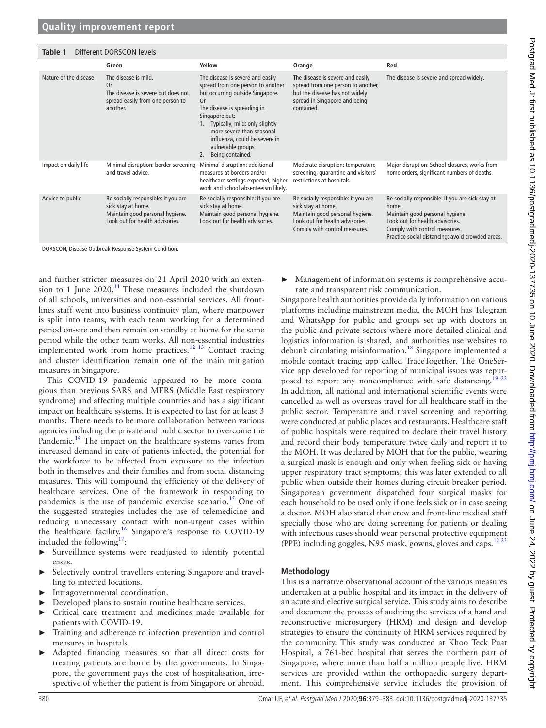<span id="page-1-0"></span>

| Different DORSCON levels<br>Table 1 |                                                                                                                                 |                                                                                                                                                                                                                                                                                                               |                                                                                                                                                                  |                                                                                                                                                                                                                      |  |  |  |
|-------------------------------------|---------------------------------------------------------------------------------------------------------------------------------|---------------------------------------------------------------------------------------------------------------------------------------------------------------------------------------------------------------------------------------------------------------------------------------------------------------|------------------------------------------------------------------------------------------------------------------------------------------------------------------|----------------------------------------------------------------------------------------------------------------------------------------------------------------------------------------------------------------------|--|--|--|
|                                     | Green                                                                                                                           | Yellow                                                                                                                                                                                                                                                                                                        | Orange                                                                                                                                                           | Red                                                                                                                                                                                                                  |  |  |  |
| Nature of the disease               | The disease is mild.<br>0r<br>The disease is severe but does not<br>spread easily from one person to<br>another.                | The disease is severe and easily<br>spread from one person to another<br>but occurring outside Singapore.<br>0r<br>The disease is spreading in<br>Singapore but:<br>Typically, mild: only slightly<br>more severe than seasonal<br>influenza, could be severe in<br>vulnerable groups.<br>2. Being contained. | The disease is severe and easily<br>spread from one person to another,<br>but the disease has not widely<br>spread in Singapore and being<br>contained.          | The disease is severe and spread widely.                                                                                                                                                                             |  |  |  |
| Impact on daily life                | Minimal disruption: border screening<br>and travel advice.                                                                      | Minimal disruption: additional<br>measures at borders and/or<br>healthcare settings expected, higher<br>work and school absenteeism likely.                                                                                                                                                                   | Moderate disruption: temperature<br>screening, quarantine and visitors'<br>restrictions at hospitals.                                                            | Major disruption: School closures, works from<br>home orders, significant numbers of deaths.                                                                                                                         |  |  |  |
| Advice to public                    | Be socially responsible: if you are<br>sick stay at home.<br>Maintain good personal hygiene.<br>Look out for health advisories. | Be socially responsible: if you are<br>sick stay at home.<br>Maintain good personal hygiene.<br>Look out for health advisories.                                                                                                                                                                               | Be socially responsible: if you are<br>sick stay at home.<br>Maintain good personal hygiene.<br>Look out for health advisories.<br>Comply with control measures. | Be socially responsible: if you are sick stay at<br>home.<br>Maintain good personal hygiene.<br>Look out for health advisories.<br>Comply with control measures.<br>Practice social distancing: avoid crowded areas. |  |  |  |

DORSCON, Disease Outbreak Response System Condition.

and further stricter measures on 21 April 2020 with an extension to 1 June  $2020$ .<sup>11</sup> These measures included the shutdown of all schools, universities and non-essential services. All frontlines staff went into business continuity plan, where manpower is split into teams, with each team working for a determined period on-site and then remain on standby at home for the same period while the other team works. All non-essential industries implemented work from home practices.<sup>12 13</sup> Contact tracing and cluster identification remain one of the main mitigation measures in Singapore.

This COVID-19 pandemic appeared to be more contagious than previous SARS and MERS (Middle East respiratory syndrome) and affecting multiple countries and has a significant impact on healthcare systems. It is expected to last for at least 3 months. There needs to be more collaboration between various agencies including the private and public sector to overcome the Pandemic.<sup>[14](#page-4-10)</sup> The impact on the healthcare systems varies from increased demand in care of patients infected, the potential for the workforce to be affected from exposure to the infection both in themselves and their families and from social distancing measures. This will compound the efficiency of the delivery of healthcare services. One of the framework in responding to pandemics is the use of pandemic exercise scenario.<sup>[15](#page-4-11)</sup> One of the suggested strategies includes the use of telemedicine and reducing unnecessary contact with non-urgent cases within the healthcare facility.<sup>16</sup> Singapore's response to COVID-19 included the following<sup>17</sup>:

- ► Surveillance systems were readjusted to identify potential cases.
- ► Selectively control travellers entering Singapore and travelling to infected locations.
- ► Intragovernmental coordination.
- Developed plans to sustain routine healthcare services.
- ► Critical care treatment and medicines made available for patients with COVID-19.
- Training and adherence to infection prevention and control measures in hospitals.
- Adapted financing measures so that all direct costs for treating patients are borne by the governments. In Singapore, the government pays the cost of hospitalisation, irrespective of whether the patient is from Singapore or abroad.

► Management of information systems is comprehensive accurate and transparent risk communication.

Singapore health authorities provide daily information on various platforms including mainstream media, the MOH has Telegram and WhatsApp for public and groups set up with doctors in the public and private sectors where more detailed clinical and logistics information is shared, and authorities use websites to debunk circulating misinformation.<sup>18</sup> Singapore implemented a mobile contact tracing app called TraceTogether. The OneService app developed for reporting of municipal issues was repur-posed to report any noncompliance with safe distancing.<sup>[19–22](#page-4-15)</sup> In addition, all national and international scientific events were cancelled as well as overseas travel for all healthcare staff in the public sector. Temperature and travel screening and reporting were conducted at public places and restaurants. Healthcare staff of public hospitals were required to declare their travel history and record their body temperature twice daily and report it to the MOH. It was declared by MOH that for the public, wearing a surgical mask is enough and only when feeling sick or having upper respiratory tract symptoms; this was later extended to all public when outside their homes during circuit breaker period. Singaporean government dispatched four surgical masks for each household to be used only if one feels sick or in case seeing a doctor. MOH also stated that crew and front-line medical staff specially those who are doing screening for patients or dealing with infectious cases should wear personal protective equipment (PPE) including goggles, N95 mask, gowns, gloves and caps.<sup>1223</sup>

### **Methodology**

This is a narrative observational account of the various measures undertaken at a public hospital and its impact in the delivery of an acute and elective surgical service. This study aims to describe and document the process of auditing the services of a hand and reconstructive microsurgery (HRM) and design and develop strategies to ensure the continuity of HRM services required by the community. This study was conducted at Khoo Teck Puat Hospital, a 761-bed hospital that serves the northern part of Singapore, where more than half a million people live. HRM services are provided within the orthopaedic surgery department. This comprehensive service includes the provision of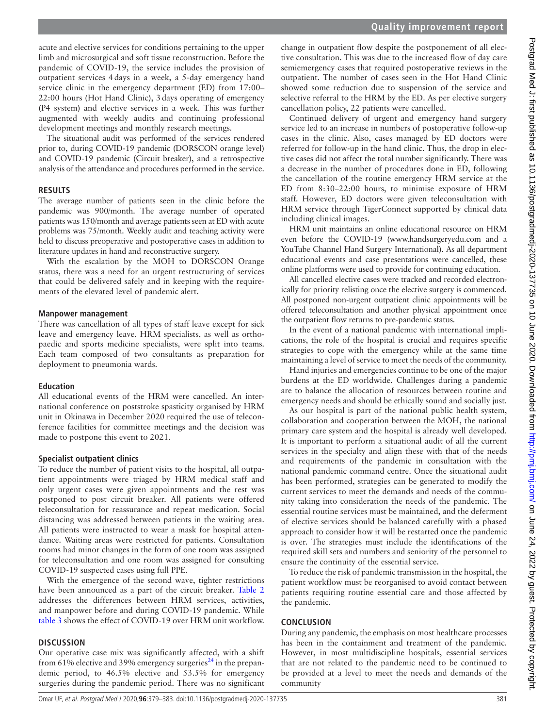acute and elective services for conditions pertaining to the upper limb and microsurgical and soft tissue reconstruction. Before the pandemic of COVID-19, the service includes the provision of outpatient services 4days in a week, a 5-day emergency hand service clinic in the emergency department (ED) from 17:00– 22:00 hours (Hot Hand Clinic), 3days operating of emergency (P4 system) and elective services in a week. This was further augmented with weekly audits and continuing professional development meetings and monthly research meetings.

The situational audit was performed of the services rendered prior to, during COVID-19 pandemic (DORSCON orange level) and COVID-19 pandemic (Circuit breaker), and a retrospective analysis of the attendance and procedures performed in the service.

## **Results**

The average number of patients seen in the clinic before the pandemic was 900/month. The average number of operated patients was 150/month and average patients seen at ED with acute problems was 75/month. Weekly audit and teaching activity were held to discuss preoperative and postoperative cases in addition to literature updates in hand and reconstructive surgery.

With the escalation by the MOH to DORSCON Orange status, there was a need for an urgent restructuring of services that could be delivered safely and in keeping with the requirements of the elevated level of pandemic alert.

## **Manpower management**

There was cancellation of all types of staff leave except for sick leave and emergency leave. HRM specialists, as well as orthopaedic and sports medicine specialists, were split into teams. Each team composed of two consultants as preparation for deployment to pneumonia wards.

## **Education**

All educational events of the HRM were cancelled. An international conference on poststroke spasticity organised by HRM unit in Okinawa in December 2020 required the use of teleconference facilities for committee meetings and the decision was made to postpone this event to 2021.

## **Specialist outpatient clinics**

To reduce the number of patient visits to the hospital, all outpatient appointments were triaged by HRM medical staff and only urgent cases were given appointments and the rest was postponed to post circuit breaker. All patients were offered teleconsultation for reassurance and repeat medication. Social distancing was addressed between patients in the waiting area. All patients were instructed to wear a mask for hospital attendance. Waiting areas were restricted for patients. Consultation rooms had minor changes in the form of one room was assigned for teleconsultation and one room was assigned for consulting COVID-19 suspected cases using full PPE.

With the emergence of the second wave, tighter restrictions have been announced as a part of the circuit breaker. [Table](#page-3-0) 2 addresses the differences between HRM services, activities, and manpower before and during COVID-19 pandemic. While [table](#page-4-16) 3 shows the effect of COVID-19 over HRM unit workflow.

# **Discussion**

Our operative case mix was significantly affected, with a shift from 61% elective and 39% emergency surgeries<sup>[24](#page-4-17)</sup> in the prepandemic period, to 46.5% elective and 53.5% for emergency surgeries during the pandemic period. There was no significant change in outpatient flow despite the postponement of all elective consultation. This was due to the increased flow of day care semiemergency cases that required postoperative reviews in the outpatient. The number of cases seen in the Hot Hand Clinic showed some reduction due to suspension of the service and selective referral to the HRM by the ED. As per elective surgery cancellation policy, 22 patients were cancelled.

Continued delivery of urgent and emergency hand surgery service led to an increase in numbers of postoperative follow-up cases in the clinic. Also, cases managed by ED doctors were referred for follow-up in the hand clinic. Thus, the drop in elective cases did not affect the total number significantly. There was a decrease in the number of procedures done in ED, following the cancellation of the routine emergency HRM service at the ED from 8:30–22:00 hours, to minimise exposure of HRM staff. However, ED doctors were given teleconsultation with HRM service through TigerConnect supported by clinical data including clinical images.

HRM unit maintains an online educational resource on HRM even before the COVID-19 [\(www.handsurgeryedu.com](www.handsurgeryedu.com) and a YouTube Channel Hand Surgery International). As all department educational events and case presentations were cancelled, these online platforms were used to provide for continuing education.

All cancelled elective cases were tracked and recorded electronically for priority relisting once the elective surgery is commenced. All postponed non-urgent outpatient clinic appointments will be offered teleconsultation and another physical appointment once the outpatient flow returns to pre-pandemic status.

In the event of a national pandemic with international implications, the role of the hospital is crucial and requires specific strategies to cope with the emergency while at the same time maintaining a level of service to meet the needs of the community.

Hand injuries and emergencies continue to be one of the major burdens at the ED worldwide. Challenges during a pandemic are to balance the allocation of resources between routine and emergency needs and should be ethically sound and socially just.

As our hospital is part of the national public health system, collaboration and cooperation between the MOH, the national primary care system and the hospital is already well developed. It is important to perform a situational audit of all the current services in the specialty and align these with that of the needs and requirements of the pandemic in consultation with the national pandemic command centre. Once the situational audit has been performed, strategies can be generated to modify the current services to meet the demands and needs of the community taking into consideration the needs of the pandemic. The essential routine services must be maintained, and the deferment of elective services should be balanced carefully with a phased approach to consider how it will be restarted once the pandemic is over. The strategies must include the identifications of the required skill sets and numbers and seniority of the personnel to ensure the continuity of the essential service.

To reduce the risk of pandemic transmission in the hospital, the patient workflow must be reorganised to avoid contact between patients requiring routine essential care and those affected by the pandemic.

## **Conclusion**

During any pandemic, the emphasis on most healthcare processes has been in the containment and treatment of the pandemic. However, in most multidiscipline hospitals, essential services that are not related to the pandemic need to be continued to be provided at a level to meet the needs and demands of the community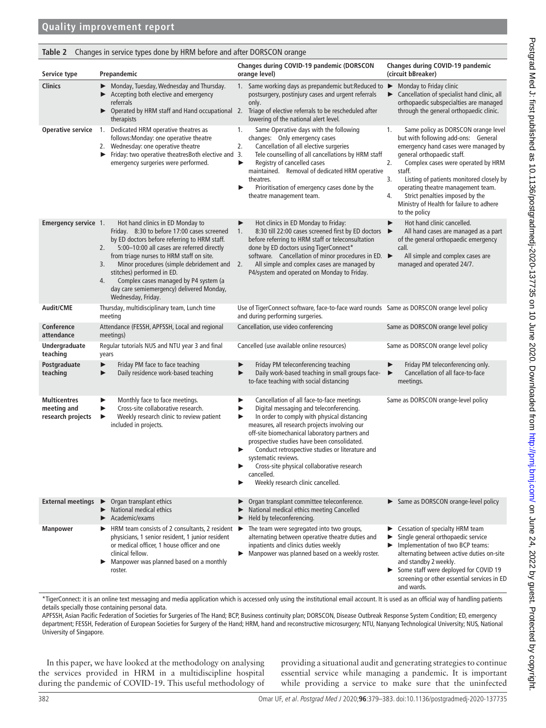#### <span id="page-3-0"></span>**Table 2** Changes in service types done by HRM before and after DORSCON orange

| Service type                                            | Prepandemic                                                                                                                                                                                                                                                                                                                                                                                                                          | Changes during COVID-19 pandemic (DORSCON<br>orange level)                                                                                                                                                                                                                                                                                                                                                                                                                      | Changes during COVID-19 pandemic<br>(circuit bBreaker)                                                                                                                                                                                                                                                                                                                                                     |
|---------------------------------------------------------|--------------------------------------------------------------------------------------------------------------------------------------------------------------------------------------------------------------------------------------------------------------------------------------------------------------------------------------------------------------------------------------------------------------------------------------|---------------------------------------------------------------------------------------------------------------------------------------------------------------------------------------------------------------------------------------------------------------------------------------------------------------------------------------------------------------------------------------------------------------------------------------------------------------------------------|------------------------------------------------------------------------------------------------------------------------------------------------------------------------------------------------------------------------------------------------------------------------------------------------------------------------------------------------------------------------------------------------------------|
| <b>Clinics</b>                                          | Monday, Tuesday, Wednesday and Thursday.<br>▶ Accepting both elective and emergency<br>referrals<br>therapists                                                                                                                                                                                                                                                                                                                       | 1. Same working days as prepandemic but: Reduced to $\blacktriangleright$<br>postsurgery, postinjury cases and urgent referrals<br>only.<br>▶ Operated by HRM staff and Hand occupational 2. Triage of elective referrals to be rescheduled after<br>lowering of the national alert level.                                                                                                                                                                                      | Monday to Friday clinic<br>► Cancellation of specialist hand clinic, all<br>orthopaedic subspecialties are managed<br>through the general orthopaedic clinic.                                                                                                                                                                                                                                              |
| <b>Operative service</b>                                | 1. Dedicated HRM operative theatres as<br>follows: Monday: one operative theatre<br>2. Wednesday: one operative theatre<br>Friday: two operative theatresBoth elective and 3.<br>emergency surgeries were performed.                                                                                                                                                                                                                 | Same Operative days with the following<br>1.<br>changes: Only emergency cases<br>2.<br>Cancellation of all elective surgeries<br>Tele counselling of all cancellations by HRM staff<br>Registry of cancelled cases<br>▶<br>maintained. Removal of dedicated HRM operative<br>theatres.<br>Prioritisation of emergency cases done by the<br>▶<br>theatre management team.                                                                                                        | 1.<br>Same policy as DORSCON orange level<br>but with following add-ons: General<br>emergency hand cases were managed by<br>general orthopaedic staff.<br>2.<br>Complex cases were operated by HRM<br>staff.<br>3.<br>Listing of patients monitored closely by<br>operating theatre management team.<br>4.<br>Strict penalties imposed by the<br>Ministry of Health for failure to adhere<br>to the policy |
| Emergency service 1.                                    | Hot hand clinics in ED Monday to<br>Friday. 8:30 to before 17:00 cases screened<br>by ED doctors before referring to HRM staff.<br>5:00-10:00 all cases are referred directly<br>2.<br>from triage nurses to HRM staff on site.<br>Minor procedures (simple debridement and 2.<br>3.<br>stitches) performed in ED.<br>Complex cases managed by P4 system (a<br>4.<br>day care semiemergency) delivered Monday,<br>Wednesday, Friday. | Hot clinics in ED Monday to Friday:<br>8:30 till 22:00 cases screened first by ED doctors<br>1.<br>before referring to HRM staff or teleconsultation<br>done by ED doctors using TigerConnect*<br>software. Cancellation of minor procedures in ED. ►<br>All simple and complex cases are managed by<br>P4/system and operated on Monday to Friday.                                                                                                                             | Hot hand clinic cancelled.<br>▶<br>All hand cases are managed as a part<br>▶<br>of the general orthopaedic emergency<br>call.<br>All simple and complex cases are<br>managed and operated 24/7.                                                                                                                                                                                                            |
| <b>Audit/CME</b>                                        | Thursday, multidisciplinary team, Lunch time<br>meeting                                                                                                                                                                                                                                                                                                                                                                              | Use of TigerConnect software, face-to-face ward rounds Same as DORSCON orange level policy<br>and during performing surgeries.                                                                                                                                                                                                                                                                                                                                                  |                                                                                                                                                                                                                                                                                                                                                                                                            |
| Conference<br>attendance                                | Attendance (FESSH, APFSSH, Local and regional<br>meetings)                                                                                                                                                                                                                                                                                                                                                                           | Cancellation, use video conferencing                                                                                                                                                                                                                                                                                                                                                                                                                                            | Same as DORSCON orange level policy                                                                                                                                                                                                                                                                                                                                                                        |
| Undergraduate<br>teaching                               | Regular tutorials NUS and NTU year 3 and final<br>years                                                                                                                                                                                                                                                                                                                                                                              | Cancelled (use available online resources)                                                                                                                                                                                                                                                                                                                                                                                                                                      | Same as DORSCON orange level policy                                                                                                                                                                                                                                                                                                                                                                        |
| Postgraduate<br>teaching                                | Friday PM face to face teaching<br>▶<br>Daily residence work-based teaching<br>▶                                                                                                                                                                                                                                                                                                                                                     | Friday PM teleconferencing teaching<br>Daily work-based teaching in small groups face-<br>to-face teaching with social distancing                                                                                                                                                                                                                                                                                                                                               | Friday PM teleconferencing only.<br>▶<br>Cancellation of all face-to-face<br>▶<br>meetings.                                                                                                                                                                                                                                                                                                                |
| <b>Multicentres</b><br>meeting and<br>research projects | Monthly face to face meetings.<br>▶<br>Cross-site collaborative research.<br>▶<br>Weekly research clinic to review patient<br>▶<br>included in projects.                                                                                                                                                                                                                                                                             | Cancellation of all face-to-face meetings<br>▶<br>Digital messaging and teleconferencing.<br>▶<br>In order to comply with physical distancing<br>▶<br>measures, all research projects involving our<br>off-site biomechanical laboratory partners and<br>prospective studies have been consolidated.<br>Conduct retrospective studies or literature and<br>systematic reviews.<br>Cross-site physical collaborative research<br>cancelled.<br>Weekly research clinic cancelled. | Same as DORSCON orange-level policy                                                                                                                                                                                                                                                                                                                                                                        |
| <b>External meetings</b>                                | $\triangleright$ Organ transplant ethics<br>National medical ethics<br>$\blacktriangleright$ Academic/exams                                                                                                                                                                                                                                                                                                                          | Organ transplant committee teleconference.<br>National medical ethics meeting Cancelled<br>Held by teleconferencing.                                                                                                                                                                                                                                                                                                                                                            | Same as DORSCON orange-level policy                                                                                                                                                                                                                                                                                                                                                                        |
| <b>Manpower</b>                                         | HRM team consists of 2 consultants, 2 resident<br>physicians, 1 senior resident, 1 junior resident<br>or medical officer, 1 house officer and one<br>clinical fellow.<br>Manpower was planned based on a monthly<br>▶<br>roster.                                                                                                                                                                                                     | The team were segregated into two groups,<br>▶<br>alternating between operative theatre duties and<br>inpatients and clinics duties weekly<br>Manpower was planned based on a weekly roster.<br>▶                                                                                                                                                                                                                                                                               | Exercise Cessation of specialty HRM team<br>Single general orthopaedic service<br>Implementation of two BCP teams:<br>▶<br>alternating between active duties on-site<br>and standby 2 weekly.<br>Some staff were deployed for COVID 19<br>screening or other essential services in ED<br>and wards.                                                                                                        |

\*TigerConnect: it is an online text messaging and media application which is accessed only using the institutional email account. It is used as an official way of handling patients details specially those containing personal data.

APFSSH, Asian Pacific Federation of Societies for Surgeries of The Hand; BCP, Business continuity plan; DORSCON, Disease Outbreak Response System Condition; ED, emergency department; FESSH, Federation of European Societies for Surgery of the Hand; HRM, hand and reconstructive microsurgery; NTU, Nanyang Technological University; NUS, National University of Singapore.

In this paper, we have looked at the methodology on analysing the services provided in HRM in a multidiscipline hospital during the pandemic of COVID-19. This useful methodology of providing a situational audit and generating strategies to continue essential service while managing a pandemic. It is important while providing a service to make sure that the uninfected